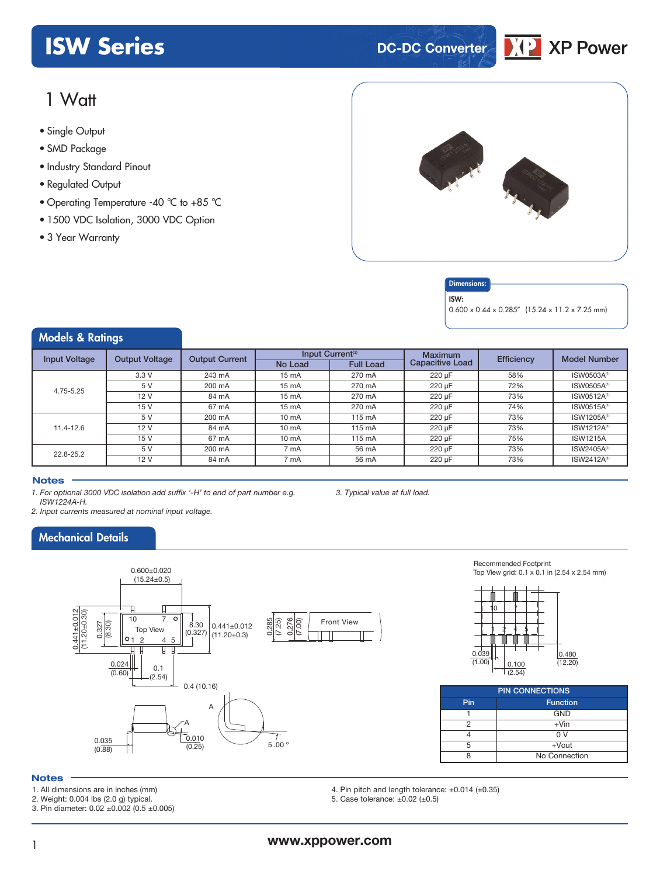# **ISW Series DC-DC Converter**



# 1 Watt

- **xxx Series** Single Output
- SMD Package
- Industry Standard Pinout
- Regulated Output
- Operating Temperature -40 °C to +85 °C
- 1500 VDC Isolation, 3000 VDC Option
- 3 Year Warranty



### **Dimensions**

ISW:

0.600 x 0.44 x 0.285" (15.24 x 11.2 x 7.25 mm)

## Models & Ratings

| <b>Input Voltage</b> | <b>Output Voltage</b> | <b>Output Current</b> |                   | Input Current <sup>(3)</sup> | <b>Maximum</b>         | <b>Efficiency</b> | <b>Model Number</b>     |
|----------------------|-----------------------|-----------------------|-------------------|------------------------------|------------------------|-------------------|-------------------------|
|                      |                       |                       | No Load           | <b>Full Load</b>             | <b>Capacitive Load</b> |                   |                         |
|                      | 3.3V                  | 243 mA                | $15 \text{ mA}$   | 270 mA                       | 220 uF                 | 58%               | ISW0503A <sup>(1)</sup> |
| 4.75-5.25            | 5 V                   | 200 mA                | $15 \text{ mA}$   | 270 mA                       | 220 µF                 | 72%               | ISW0505A <sup>(1)</sup> |
|                      | 12V                   | 84 mA                 | $15 \text{ mA}$   | 270 mA                       | 220 µF                 | 73%               | ISW0512A <sup>(1)</sup> |
|                      | 15 V                  | 67 mA                 | $15 \text{ mA}$   | 270 mA                       | 220 µF                 | 74%               | ISW0515A <sup>(1)</sup> |
| $11.4 - 12.6$        | 5 V                   | 200 mA                | 10 <sub>m</sub> A | 115 mA                       | 220 uF                 | 73%               | ISW1205A <sup>(1)</sup> |
|                      | 12 V                  | 84 mA                 | $10 \text{ mA}$   | 115 mA                       | 220 µF                 | 73%               | ISW1212A <sup>(1)</sup> |
|                      | 15 V                  | 67 mA                 | $10 \text{ mA}$   | 115 mA                       | 220 uF                 | 75%               | <b>ISW1215A</b>         |
| 22.8-25.2            | 5 V                   | 200 mA                | 7 mA              | 56 mA                        | 220 uF                 | 73%               | ISW2405A <sup>(1)</sup> |
|                      | 12V                   | 84 mA                 | 7 mA              | 56 mA                        | 220 uF                 | 73%               | ISW2412A <sup>(1)</sup> |
|                      |                       |                       |                   |                              |                        |                   |                         |

### **Notes**

*1. For optional 3000 VDC isolation add suffix '-H' to end of part number e.g. ISW1224A-H.*

*2. Input currents measured at nominal input voltage.*

# Mechanical Details



Recommended Footprint Top View grid: 0.1 x 0.1 in (2.54 x 2.54 mm)



| <b>PIN CONNECTIONS</b> |                 |  |  |  |  |
|------------------------|-----------------|--|--|--|--|
| Pin                    | <b>Function</b> |  |  |  |  |
|                        | <b>GND</b>      |  |  |  |  |
|                        | $+V$ in         |  |  |  |  |
|                        | n v             |  |  |  |  |
|                        | $+$ Vout        |  |  |  |  |
| No Connection          |                 |  |  |  |  |

### **Notes**

- 1. All dimensions are in inches (mm)
- 2. Weight: 0.004 lbs (2.0 g) typical.
- 3. Pin diameter: 0.02 ±0.002 (0.5 ±0.005)
- 4. Pin pitch and length tolerance: ±0.014 (±0.35)
- 5. Case tolerance: ±0.02 (±0.5)

*3. Typical value at full load.*

# <sup>1</sup> **www.xppower.com**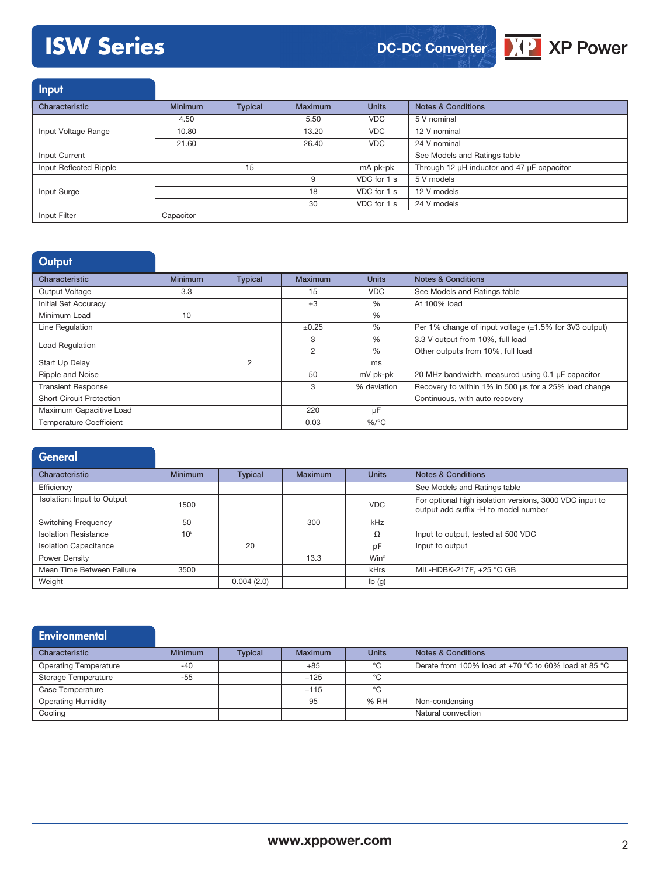# **ISW Series**





Input Characteristic **Minimum Typical Maximum Units Notes & Conditions** Input Voltage Range 4.50 **5.50 5 V nominal 5.50 5 V nominal** 10.80 13.20 VDC 12 V nominal 21.60 26.40 VDC 24 V nominal Input Current See Models and Ratings table Input Reflected Ripple 15 15 mA pk-pk Through 12 µH inductor and 47 µF capacitor Input Surge 9 VDC for 1 s 5 V models 18 VDC for 1 s 12 V models 30 VDC for 1 s 24 V models Input Filter Capacitor

### **Output**

| Characteristic                  | <b>Minimum</b> | <b>Typical</b> | Maximum    | <b>Units</b> | <b>Notes &amp; Conditions</b>                               |
|---------------------------------|----------------|----------------|------------|--------------|-------------------------------------------------------------|
| <b>Output Voltage</b>           | 3.3            |                | 15         | <b>VDC</b>   | See Models and Ratings table                                |
| Initial Set Accuracy            |                |                | $\pm 3$    | $\%$         | At 100% load                                                |
| Minimum Load                    | 10             |                |            | %            |                                                             |
| Line Regulation                 |                |                | $\pm 0.25$ | %            | Per 1% change of input voltage $(\pm 1.5\%$ for 3V3 output) |
| Load Regulation                 |                |                | 3          | $\%$         | 3.3 V output from 10%, full load                            |
|                                 |                |                | 2          | %            | Other outputs from 10%, full load                           |
| Start Up Delay                  |                | 2              |            | ms           |                                                             |
| Ripple and Noise                |                |                | 50         | mV pk-pk     | 20 MHz bandwidth, measured using 0.1 µF capacitor           |
| <b>Transient Response</b>       |                |                | 3          | % deviation  | Recovery to within 1% in 500 us for a 25% load change       |
| <b>Short Circuit Protection</b> |                |                |            |              | Continuous, with auto recovery                              |
| Maximum Capacitive Load         |                |                | 220        | μF           |                                                             |
| <b>Temperature Coefficient</b>  |                |                | 0.03       | $%$ /°C      |                                                             |

| General                      |                 |                |                |              |                                                                                                 |
|------------------------------|-----------------|----------------|----------------|--------------|-------------------------------------------------------------------------------------------------|
| Characteristic               | <b>Minimum</b>  | <b>Typical</b> | <b>Maximum</b> | <b>Units</b> | <b>Notes &amp; Conditions</b>                                                                   |
| Efficiency                   |                 |                |                |              | See Models and Ratings table                                                                    |
| Isolation: Input to Output   | 1500            |                |                | <b>VDC</b>   | For optional high isolation versions, 3000 VDC input to<br>output add suffix -H to model number |
| <b>Switching Frequency</b>   | 50              |                | 300            | kHz          |                                                                                                 |
| <b>Isolation Resistance</b>  | 10 <sup>9</sup> |                |                | Ω            | Input to output, tested at 500 VDC                                                              |
| <b>Isolation Capacitance</b> |                 | 20             |                | pF           | Input to output                                                                                 |
| <b>Power Density</b>         |                 |                | 13.3           | $Win^3$      |                                                                                                 |
| Mean Time Between Failure    | 3500            |                |                | <b>kHrs</b>  | MIL-HDBK-217F, +25 °C GB                                                                        |
| Weight                       |                 | 0.004(2.0)     |                | Ib(g)        |                                                                                                 |

| <b>Environmental</b>         |                |                |         |              |                                                        |
|------------------------------|----------------|----------------|---------|--------------|--------------------------------------------------------|
| Characteristic               | <b>Minimum</b> | <b>Typical</b> | Maximum | <b>Units</b> | <b>Notes &amp; Conditions</b>                          |
| <b>Operating Temperature</b> | $-40$          |                | $+85$   | $^{\circ}$ C | Derate from 100% load at $+70$ °C to 60% load at 85 °C |
| <b>Storage Temperature</b>   | $-55$          |                | $+125$  | $^{\circ}$ C |                                                        |
| Case Temperature             |                |                | $+115$  | °C           |                                                        |
| <b>Operating Humidity</b>    |                |                | 95      | % RH         | Non-condensing                                         |
| Cooling                      |                |                |         |              | Natural convection                                     |